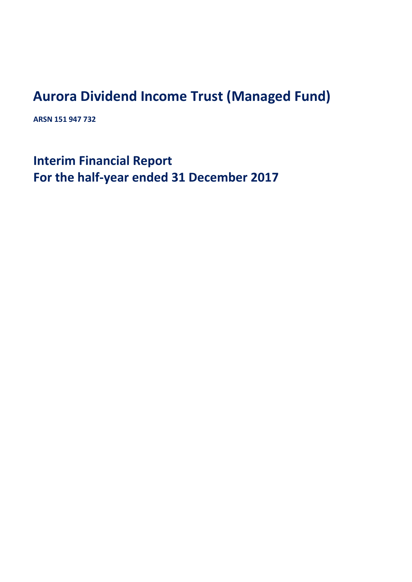## **Aurora Dividend Income Trust (Managed Fund)**

**ARSN 151 947 732**

**Interim Financial Report For the half‐year ended 31 December 2017**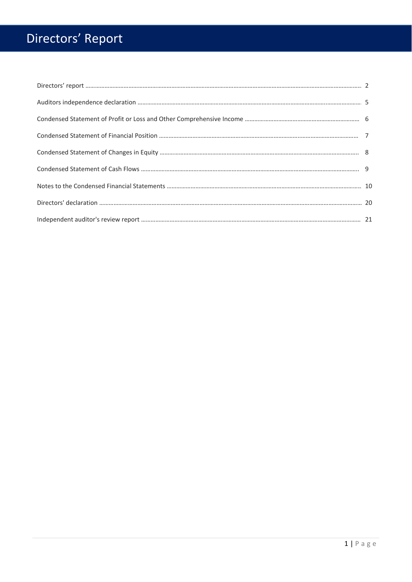# Directors' Report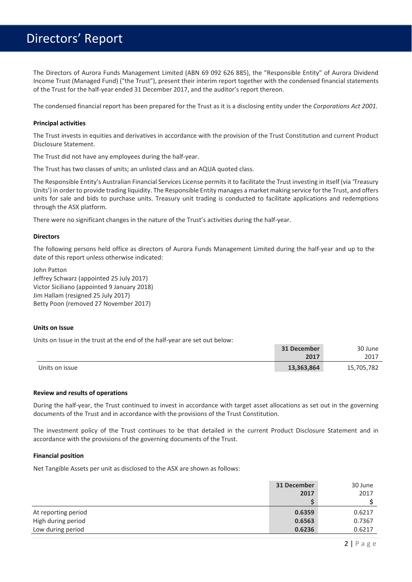## Directors' Report

The Directors of Aurora Funds Management Limited (ABN 69 092 626 885), the "Responsible Entity" of Aurora Dividend Income Trust (Managed Fund) ("the Trust"), present their interim report together with the condensed financial statements of the Trust for the half‐year ended 31 December 2017, and the auditor's report thereon.

The condensed financial report has been prepared for the Trust as it is a disclosing entity under the *Corporations Act 2001.*

#### **Principal activities**

The Trust invests in equities and derivatives in accordance with the provision of the Trust Constitution and current Product Disclosure Statement.

The Trust did not have any employees during the half‐year.

The Trust has two classes of units; an unlisted class and an AQUA quoted class.

The Responsible Entity's Australian Financial Services License permits it to facilitate the Trust investing in itself (via 'Treasury Units') in orderto provide trading liquidity. The Responsible Entity manages a market making service for the Trust, and offers units for sale and bids to purchase units. Treasury unit trading is conducted to facilitate applications and redemptions through the ASX platform.

There were no significant changes in the nature of the Trust's activities during the half‐year.

#### **Directors**

The following persons held office as directors of Aurora Funds Management Limited during the half‐year and up to the date of this report unless otherwise indicated:

John Patton Jeffrey Schwarz (appointed 25 July 2017) Victor Siciliano (appointed 9 January 2018) Jim Hallam (resigned 25 July 2017) Betty Poon (removed 27 November 2017)

#### **Units on Issue**

Units on Issue in the trust at the end of the half‐year are set out below:

|                | 31 December | 30 June    |
|----------------|-------------|------------|
|                | 2017        | 2017       |
| Units on issue | 13,363,864  | 15,705,782 |

#### **Review and results of operations**

During the half-year, the Trust continued to invest in accordance with target asset allocations as set out in the governing documents of the Trust and in accordance with the provisions of the Trust Constitution.

The investment policy of the Trust continues to be that detailed in the current Product Disclosure Statement and in accordance with the provisions of the governing documents of the Trust.

#### **Financial position**

Net Tangible Assets per unit as disclosed to the ASX are shown as follows:

|                     | 31 December | 30 June |
|---------------------|-------------|---------|
|                     | 2017        | 2017    |
|                     |             |         |
| At reporting period | 0.6359      | 0.6217  |
| High during period  | 0.6563      | 0.7367  |
| Low during period   | 0.6236      | 0.6217  |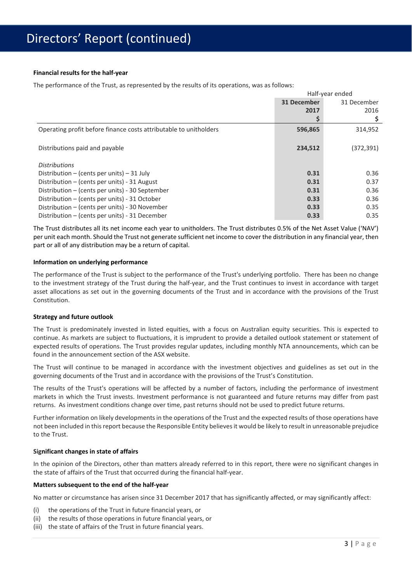#### **Financial results for the half‐year**

The performance of the Trust, as represented by the results of its operations, was as follows:

|                                                                   | Half-year ended |             |
|-------------------------------------------------------------------|-----------------|-------------|
|                                                                   | 31 December     | 31 December |
|                                                                   | 2017            | 2016        |
|                                                                   |                 |             |
| Operating profit before finance costs attributable to unitholders | 596,865         | 314,952     |
| Distributions paid and payable                                    | 234,512         | (372,391)   |
| <b>Distributions</b>                                              |                 |             |
| Distribution – (cents per units) – 31 July                        | 0.31            | 0.36        |
| Distribution $-$ (cents per units) - 31 August                    | 0.31            | 0.37        |
| Distribution – (cents per units) - 30 September                   | 0.31            | 0.36        |
| Distribution – (cents per units) - 31 October                     | 0.33            | 0.36        |
| Distribution – (cents per units) - 30 November                    | 0.33            | 0.35        |
| Distribution – (cents per units) - 31 December                    | 0.33            | 0.35        |

The Trust distributes all its net income each year to unitholders. The Trust distributes 0.5% of the Net Asset Value ('NAV') per unit each month. Should the Trust not generate sufficient net income to cover the distribution in any financial year, then part or all of any distribution may be a return of capital.

#### **Information on underlying performance**

The performance of the Trust is subject to the performance of the Trust's underlying portfolio. There has been no change to the investment strategy of the Trust during the half‐year, and the Trust continues to invest in accordance with target asset allocations as set out in the governing documents of the Trust and in accordance with the provisions of the Trust Constitution.

#### **Strategy and future outlook**

The Trust is predominately invested in listed equities, with a focus on Australian equity securities. This is expected to continue. As markets are subject to fluctuations, it is imprudent to provide a detailed outlook statement or statement of expected results of operations. The Trust provides regular updates, including monthly NTA announcements, which can be found in the announcement section of the ASX website.

The Trust will continue to be managed in accordance with the investment objectives and guidelines as set out in the governing documents of the Trust and in accordance with the provisions of the Trust's Constitution.

The results of the Trust's operations will be affected by a number of factors, including the performance of investment markets in which the Trust invests. Investment performance is not guaranteed and future returns may differ from past returns. As investment conditions change over time, past returns should not be used to predict future returns.

Further information on likely developments in the operations of the Trust and the expected results of those operations have not been included in thisreport because the Responsible Entity believesit would be likely to result in unreasonable prejudice to the Trust.

#### **Significant changes in state of affairs**

In the opinion of the Directors, other than matters already referred to in this report, there were no significant changes in the state of affairs of the Trust that occurred during the financial half‐year.

#### **Matters subsequent to the end of the half‐year**

No matter or circumstance has arisen since 31 December 2017 that has significantly affected, or may significantly affect:

- (i) the operations of the Trust in future financial years, or
- (ii) the results of those operations in future financial years, or
- (iii) the state of affairs of the Trust in future financial years.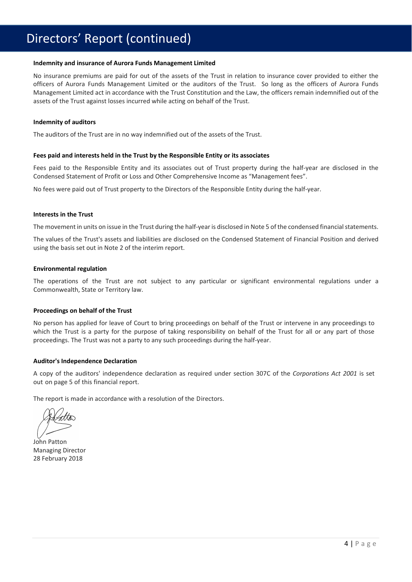## Directors' Report (continued)

#### **Indemnity and insurance of Aurora Funds Management Limited**

No insurance premiums are paid for out of the assets of the Trust in relation to insurance cover provided to either the officers of Aurora Funds Management Limited or the auditors of the Trust. So long as the officers of Aurora Funds Management Limited act in accordance with the Trust Constitution and the Law, the officers remain indemnified out of the assets of the Trust against losses incurred while acting on behalf of the Trust.

#### **Indemnity of auditors**

The auditors of the Trust are in no way indemnified out of the assets of the Trust.

#### **Fees paid and interests held in the Trust by the Responsible Entity or its associates**

Fees paid to the Responsible Entity and its associates out of Trust property during the half‐year are disclosed in the Condensed Statement of Profit or Loss and Other Comprehensive Income as "Management fees".

No fees were paid out of Trust property to the Directors of the Responsible Entity during the half‐year.

#### **Interests in the Trust**

The movement in units on issue in the Trust during the half-year is disclosed in Note 5 of the condensed financial statements.

The values of the Trust's assets and liabilities are disclosed on the Condensed Statement of Financial Position and derived using the basis set out in Note 2 of the interim report.

#### **Environmental regulation**

The operations of the Trust are not subject to any particular or significant environmental regulations under a Commonwealth, State or Territory law.

#### **Proceedings on behalf of the Trust**

No person has applied for leave of Court to bring proceedings on behalf of the Trust or intervene in any proceedings to which the Trust is a party for the purpose of taking responsibility on behalf of the Trust for all or any part of those proceedings. The Trust was not a party to any such proceedings during the half‐year.

#### **Auditor's Independence Declaration**

A copy of the auditors' independence declaration as required under section 307C of the *Corporations Act 2001* is set out on page 5 of this financial report.

The report is made in accordance with a resolution of the Directors.

John Patton Managing Director 28 February 2018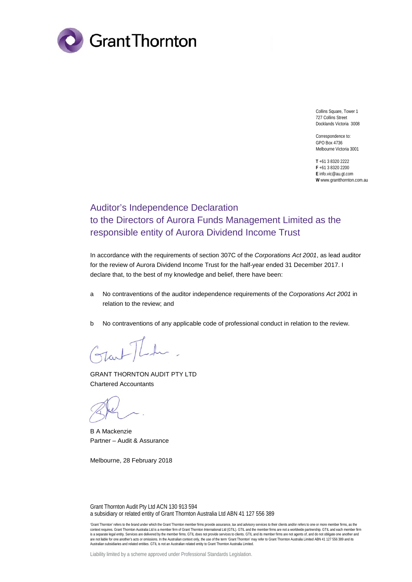

Collins Square, Tower 1 727 Collins Street Docklands Victoria 3008

Correspondence to: GPO Box 4736 Melbourne Victoria 3001

**T** +61 3 8320 2222 **F** +61 3 8320 2200 **E** info.vic@au.gt.com **W** www.grantthornton.com.au

### Auditor's Independence Declaration to the Directors of Aurora Funds Management Limited as the responsible entity of Aurora Dividend Income Trust

In accordance with the requirements of section 307C of the *Corporations Act 2001*, as lead auditor for the review of Aurora Dividend Income Trust for the half-year ended 31 December 2017. I declare that, to the best of my knowledge and belief, there have been:

- a No contraventions of the auditor independence requirements of the *Corporations Act 2001* in relation to the review; and
- b No contraventions of any applicable code of professional conduct in relation to the review.

GRANT THORNTON AUDIT PTY LTD Chartered Accountants

B A Mackenzie Partner – Audit & Assurance

Melbourne, 28 February 2018

Grant Thornton Audit Pty Ltd ACN 130 913 594 a subsidiary or related entity of Grant Thornton Australia Ltd ABN 41 127 556 389

'Grant Thornton' refers to the brand under which the Grant Thornton member firms provide assurance, tax and advisory services to their clients and/or refers to one or more member firms, as the context requires. Grant Thornton Australia Ltd is a member firm of Grant Thornton International Ltd (GTIL). GTIL and the member firms are not a worldwide partnership. GTIL and each member firm is a separate legal entity. Services are delivered by the member firms. GTIL does not provide services to clients. GTIL and its member firms are not agents of, and do not obligate one another and<br>are not liable for one ano Australian subsidiaries and related entities. GTIL is not an Australian related entity to Grant Thornton Australia Limited.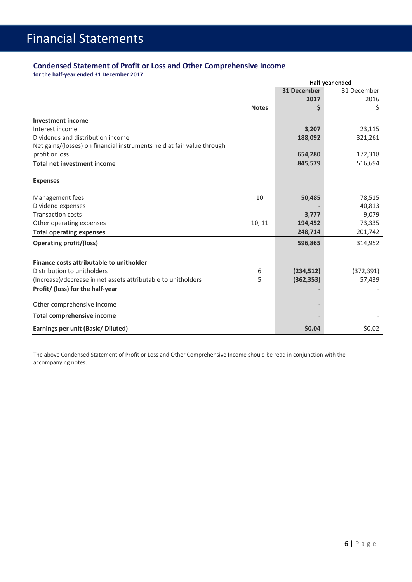### **Condensed Statement of Profit or Loss and Other Comprehensive Income**

**for the half‐year ended 31 December 2017**

|                                                                        | Half-year ended |                    |             |
|------------------------------------------------------------------------|-----------------|--------------------|-------------|
|                                                                        |                 | <b>31 December</b> | 31 December |
|                                                                        |                 | 2017               | 2016        |
|                                                                        | <b>Notes</b>    | \$                 | \$          |
| <b>Investment income</b>                                               |                 |                    |             |
| Interest income                                                        |                 | 3,207              | 23,115      |
| Dividends and distribution income                                      |                 | 188,092            | 321,261     |
| Net gains/(losses) on financial instruments held at fair value through |                 |                    |             |
| profit or loss                                                         |                 | 654,280            | 172,318     |
| <b>Total net investment income</b>                                     |                 | 845,579            | 516,694     |
| <b>Expenses</b>                                                        |                 |                    |             |
| Management fees                                                        | 10              | 50,485             | 78,515      |
| Dividend expenses                                                      |                 |                    | 40,813      |
| <b>Transaction costs</b>                                               |                 | 3,777              | 9,079       |
| Other operating expenses                                               | 10, 11          | 194,452            | 73,335      |
| <b>Total operating expenses</b>                                        |                 | 248,714            | 201,742     |
| <b>Operating profit/(loss)</b>                                         |                 | 596,865            | 314,952     |
| Finance costs attributable to unitholder                               |                 |                    |             |
| Distribution to unitholders                                            | 6               | (234, 512)         | (372, 391)  |
| (Increase)/decrease in net assets attributable to unitholders          | 5               | (362, 353)         | 57,439      |
| Profit/ (loss) for the half-year                                       |                 |                    |             |
| Other comprehensive income                                             |                 |                    |             |
| <b>Total comprehensive income</b>                                      |                 |                    |             |
| Earnings per unit (Basic/ Diluted)                                     |                 | \$0.04             | \$0.02      |

The above Condensed Statement of Profit or Loss and Other Comprehensive Income should be read in conjunction with the accompanying notes.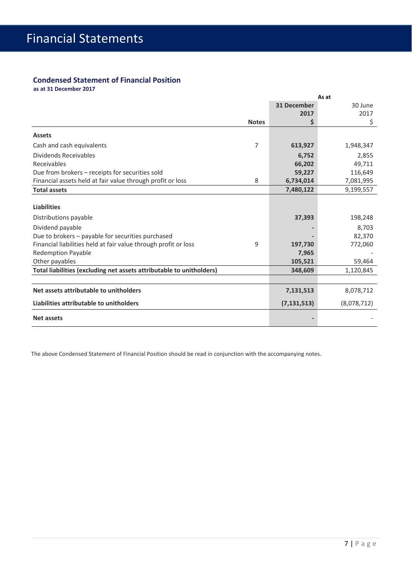### **Condensed Statement of Financial Position**

**as at 31 December 2017**

|                                                                      | As at        |                    |             |
|----------------------------------------------------------------------|--------------|--------------------|-------------|
|                                                                      |              | <b>31 December</b> | 30 June     |
|                                                                      |              | 2017               | 2017        |
|                                                                      | <b>Notes</b> | \$                 | \$          |
| <b>Assets</b>                                                        |              |                    |             |
| Cash and cash equivalents                                            | 7            | 613,927            | 1,948,347   |
| Dividends Receivables                                                |              | 6,752              | 2,855       |
| Receivables                                                          |              | 66,202             | 49,711      |
| Due from brokers – receipts for securities sold                      |              | 59,227             | 116,649     |
| Financial assets held at fair value through profit or loss           | 8            | 6,734,014          | 7,081,995   |
| <b>Total assets</b>                                                  |              | 7,480,122          | 9,199,557   |
|                                                                      |              |                    |             |
| <b>Liabilities</b>                                                   |              |                    |             |
| Distributions payable                                                |              | 37,393             | 198,248     |
| Dividend payable                                                     |              |                    | 8.703       |
| Due to brokers - payable for securities purchased                    |              |                    | 82,370      |
| Financial liabilities held at fair value through profit or loss      | 9            | 197,730            | 772,060     |
| <b>Redemption Payable</b>                                            |              | 7,965              |             |
| Other payables                                                       |              | 105,521            | 59,464      |
| Total liabilities (excluding net assets attributable to unitholders) |              | 348,609            | 1,120,845   |
|                                                                      |              |                    |             |
| Net assets attributable to unitholders                               |              | 7,131,513          | 8,078,712   |
| Liabilities attributable to unitholders                              |              | (7, 131, 513)      | (8,078,712) |
| <b>Net assets</b>                                                    |              |                    |             |

The above Condensed Statement of Financial Position should be read in conjunction with the accompanying notes.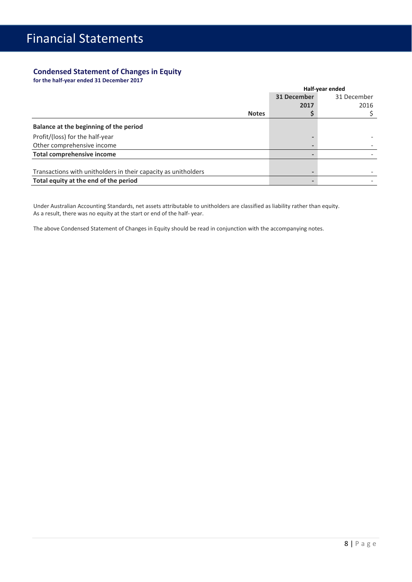### **Condensed Statement of Changes in Equity**

**for the half‐year ended 31 December 2017**

|                                                                |              | Half-year ended |             |  |
|----------------------------------------------------------------|--------------|-----------------|-------------|--|
|                                                                |              | 31 December     | 31 December |  |
|                                                                |              | 2017            | 2016        |  |
|                                                                | <b>Notes</b> |                 |             |  |
| Balance at the beginning of the period                         |              |                 |             |  |
| Profit/(loss) for the half-year                                |              |                 |             |  |
| Other comprehensive income                                     |              |                 |             |  |
| <b>Total comprehensive income</b>                              |              |                 |             |  |
| Transactions with unitholders in their capacity as unitholders |              |                 |             |  |
| Total equity at the end of the period                          |              |                 |             |  |
|                                                                |              |                 |             |  |

Under Australian Accounting Standards, net assets attributable to unitholders are classified as liability rather than equity. As a result, there was no equity at the start or end of the half‐ year.

The above Condensed Statement of Changes in Equity should be read in conjunction with the accompanying notes.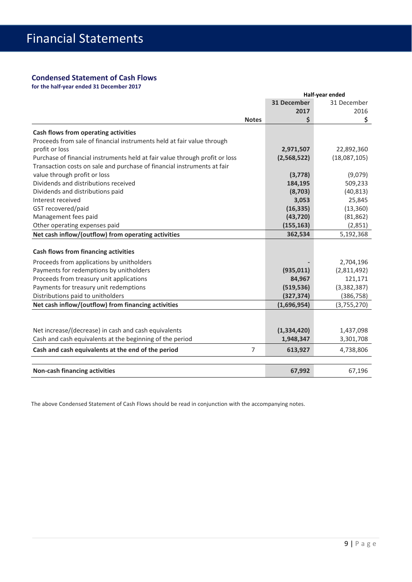#### **Condensed Statement of Cash Flows**

**for the half‐year ended 31 December 2017** 

|                                                                             | Half-year ended    |              |  |  |
|-----------------------------------------------------------------------------|--------------------|--------------|--|--|
|                                                                             | <b>31 December</b> | 31 December  |  |  |
|                                                                             | 2017               | 2016         |  |  |
| <b>Notes</b>                                                                | \$                 | \$           |  |  |
| Cash flows from operating activities                                        |                    |              |  |  |
| Proceeds from sale of financial instruments held at fair value through      |                    |              |  |  |
| profit or loss                                                              | 2,971,507          | 22,892,360   |  |  |
| Purchase of financial instruments held at fair value through profit or loss | (2,568,522)        | (18,087,105) |  |  |
| Transaction costs on sale and purchase of financial instruments at fair     |                    |              |  |  |
| value through profit or loss                                                | (3,778)            | (9,079)      |  |  |
| Dividends and distributions received                                        | 184,195            | 509,233      |  |  |
| Dividends and distributions paid                                            | (8,703)            | (40, 813)    |  |  |
| Interest received                                                           | 3,053              | 25,845       |  |  |
| GST recovered/paid                                                          | (16, 335)          | (13, 360)    |  |  |
| Management fees paid                                                        | (43, 720)          | (81, 862)    |  |  |
| Other operating expenses paid                                               | (155, 163)         | (2,851)      |  |  |
| Net cash inflow/(outflow) from operating activities                         | 362,534            | 5,192,368    |  |  |
|                                                                             |                    |              |  |  |
| <b>Cash flows from financing activities</b>                                 |                    |              |  |  |
| Proceeds from applications by unitholders                                   |                    | 2,704,196    |  |  |
| Payments for redemptions by unitholders                                     | (935, 011)         | (2,811,492)  |  |  |
| Proceeds from treasury unit applications                                    | 84,967             | 121,171      |  |  |
| Payments for treasury unit redemptions                                      | (519, 536)         | (3,382,387)  |  |  |
| Distributions paid to unitholders                                           | (327, 374)         | (386, 758)   |  |  |
| Net cash inflow/(outflow) from financing activities                         | (1,696,954)        | (3,755,270)  |  |  |
|                                                                             |                    |              |  |  |
|                                                                             |                    |              |  |  |
| Net increase/(decrease) in cash and cash equivalents                        | (1,334,420)        | 1,437,098    |  |  |
| Cash and cash equivalents at the beginning of the period                    | 1,948,347          | 3,301,708    |  |  |
| $\overline{7}$<br>Cash and cash equivalents at the end of the period        | 613,927            | 4,738,806    |  |  |
|                                                                             |                    |              |  |  |
| <b>Non-cash financing activities</b>                                        | 67,992             | 67,196       |  |  |

The above Condensed Statement of Cash Flows should be read in conjunction with the accompanying notes.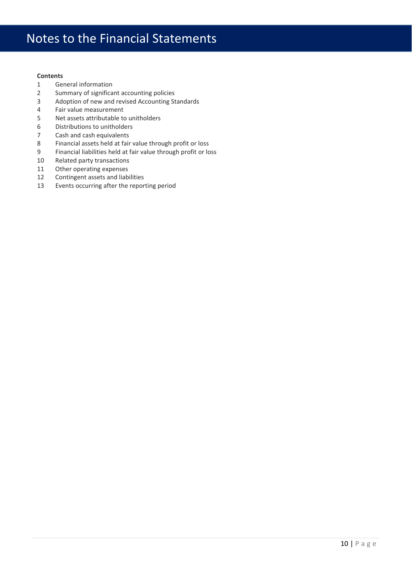## Notes to the Financial Statements

#### **Contents**

- General information
- Summary of significant accounting policies
- Adoption of new and revised Accounting Standards
- Fair value measurement
- Net assets attributable to unitholders
- 6 Distributions to unitholders<br>7 Cash and cash equivalents
- Cash and cash equivalents
- Financial assets held at fair value through profit or loss
- Financial liabilities held at fair value through profit or loss
- Related party transactions
- Other operating expenses
- Contingent assets and liabilities
- Events occurring after the reporting period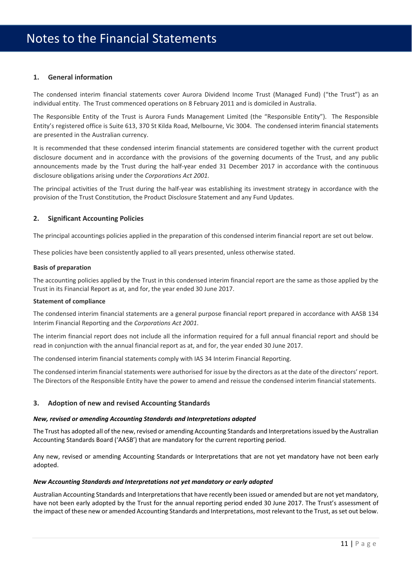#### **1. General information**

The condensed interim financial statements cover Aurora Dividend Income Trust (Managed Fund) ("the Trust") as an individual entity. The Trust commenced operations on 8 February 2011 and is domiciled in Australia.

The Responsible Entity of the Trust is Aurora Funds Management Limited (the "Responsible Entity"). The Responsible Entity's registered office is Suite 613, 370 St Kilda Road, Melbourne, Vic 3004. The condensed interim financial statements are presented in the Australian currency.

It is recommended that these condensed interim financial statements are considered together with the current product disclosure document and in accordance with the provisions of the governing documents of the Trust, and any public announcements made by the Trust during the half‐year ended 31 December 2017 in accordance with the continuous disclosure obligations arising under the *Corporations Act 2001.*

The principal activities of the Trust during the half‐year was establishing its investment strategy in accordance with the provision of the Trust Constitution, the Product Disclosure Statement and any Fund Updates.

#### **2. Significant Accounting Policies**

The principal accountings policies applied in the preparation of this condensed interim financial report are set out below.

These policies have been consistently applied to all years presented, unless otherwise stated.

#### **Basis of preparation**

The accounting policies applied by the Trust in this condensed interim financial report are the same as those applied by the Trust in its Financial Report as at, and for, the year ended 30 June 2017.

#### **Statement of compliance**

The condensed interim financial statements are a general purpose financial report prepared in accordance with AASB 134 Interim Financial Reporting and the *Corporations Act 2001*.

The interim financial report does not include all the information required for a full annual financial report and should be read in conjunction with the annual financial report as at, and for, the year ended 30 June 2017.

The condensed interim financial statements comply with IAS 34 Interim Financial Reporting.

The condensed interim financial statements were authorised for issue by the directors as at the date of the directors' report. The Directors of the Responsible Entity have the power to amend and reissue the condensed interim financial statements.

#### **3. Adoption of new and revised Accounting Standards**

#### *New, revised or amending Accounting Standards and Interpretations adopted*

The Trust has adopted all of the new, revised or amending Accounting Standards and Interpretationsissued by the Australian Accounting Standards Board ('AASB') that are mandatory for the current reporting period.

Any new, revised or amending Accounting Standards or Interpretations that are not yet mandatory have not been early adopted.

#### *New Accounting Standards and Interpretations not yet mandatory or early adopted*

Australian Accounting Standards and Interpretations that have recently been issued or amended but are not yet mandatory, have not been early adopted by the Trust for the annual reporting period ended 30 June 2017. The Trust's assessment of the impact of these new or amended Accounting Standards and Interpretations, most relevant to the Trust, asset out below.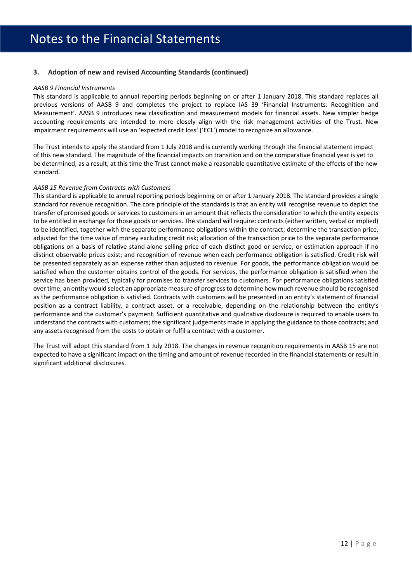#### **3. Adoption of new and revised Accounting Standards (continued)**

#### *AASB 9 Financial Instruments*

This standard is applicable to annual reporting periods beginning on or after 1 January 2018. This standard replaces all previous versions of AASB 9 and completes the project to replace IAS 39 'Financial Instruments: Recognition and Measurement'. AASB 9 introduces new classification and measurement models for financial assets. New simpler hedge accounting requirements are intended to more closely align with the risk management activities of the Trust. New impairment requirements will use an 'expected credit loss' ('ECL') model to recognize an allowance.

The Trust intends to apply the standard from 1 July 2018 and is currently working through the financial statement impact of this new standard. The magnitude of the financial impacts on transition and on the comparative financial year is yet to be determined, as a result, at this time the Trust cannot make a reasonable quantitative estimate of the effects of the new standard.

#### *AASB 15 Revenue from Contracts with Customers*

This standard is applicable to annual reporting periods beginning on or after 1 January 2018. The standard provides a single standard for revenue recognition. The core principle of the standards is that an entity will recognise revenue to depict the transfer of promised goods or services to customers in an amount that reflects the consideration to which the entity expects to be entitled in exchange for those goods or services. The standard will require: contracts(either written, verbal or implied) to be identified, together with the separate performance obligations within the contract; determine the transaction price, adjusted for the time value of money excluding credit risk; allocation of the transaction price to the separate performance obligations on a basis of relative stand‐alone selling price of each distinct good or service, or estimation approach if no distinct observable prices exist; and recognition of revenue when each performance obligation is satisfied. Credit risk will be presented separately as an expense rather than adjusted to revenue. For goods, the performance obligation would be satisfied when the customer obtains control of the goods. For services, the performance obligation is satisfied when the service has been provided, typically for promises to transfer services to customers. For performance obligations satisfied over time, an entity would select an appropriate measure of progressto determine how much revenue should be recognised as the performance obligation is satisfied. Contracts with customers will be presented in an entity's statement of financial position as a contract liability, a contract asset, or a receivable, depending on the relationship between the entity's performance and the customer's payment. Sufficient quantitative and qualitative disclosure is required to enable users to understand the contracts with customers; the significant judgements made in applying the guidance to those contracts; and any assets recognised from the costs to obtain or fulfil a contract with a customer.

The Trust will adopt this standard from 1 July 2018. The changes in revenue recognition requirements in AASB 15 are not expected to have a significant impact on the timing and amount of revenue recorded in the financial statements or result in significant additional disclosures.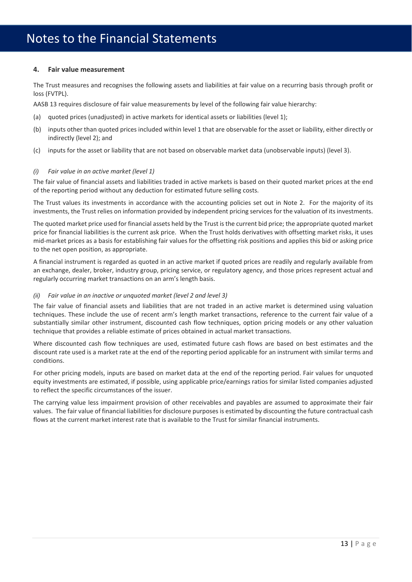### Notes to the Financial Statements

#### **4. Fair value measurement**

The Trust measures and recognises the following assets and liabilities at fair value on a recurring basis through profit or loss (FVTPL).

AASB 13 requires disclosure of fair value measurements by level of the following fair value hierarchy:

- (a) quoted prices (unadjusted) in active markets for identical assets or liabilities (level 1);
- (b) inputs other than quoted prices included within level 1 that are observable for the asset or liability, either directly or indirectly (level 2); and
- (c) inputs for the asset or liability that are not based on observable market data (unobservable inputs) (level 3).

#### *(i) Fair value in an active market (level 1)*

The fair value of financial assets and liabilities traded in active markets is based on their quoted market prices at the end of the reporting period without any deduction for estimated future selling costs.

The Trust values its investments in accordance with the accounting policies set out in Note 2. For the majority of its investments, the Trust relies on information provided by independent pricing services for the valuation of its investments.

The quoted market price used for financial assets held by the Trust isthe current bid price; the appropriate quoted market price for financial liabilities is the current ask price. When the Trust holds derivatives with offsetting market risks, it uses mid‐market prices as a basis for establishing fair values for the offsetting risk positions and applies this bid or asking price to the net open position, as appropriate.

A financial instrument is regarded as quoted in an active market if quoted prices are readily and regularly available from an exchange, dealer, broker, industry group, pricing service, or regulatory agency, and those prices represent actual and regularly occurring market transactions on an arm's length basis.

#### *(ii) Fair value in an inactive or unquoted market (level 2 and level 3)*

The fair value of financial assets and liabilities that are not traded in an active market is determined using valuation techniques. These include the use of recent arm's length market transactions, reference to the current fair value of a substantially similar other instrument, discounted cash flow techniques, option pricing models or any other valuation technique that provides a reliable estimate of prices obtained in actual market transactions.

Where discounted cash flow techniques are used, estimated future cash flows are based on best estimates and the discount rate used is a market rate at the end of the reporting period applicable for an instrument with similar terms and conditions.

For other pricing models, inputs are based on market data at the end of the reporting period. Fair values for unquoted equity investments are estimated, if possible, using applicable price/earnings ratios for similar listed companies adjusted to reflect the specific circumstances of the issuer.

The carrying value less impairment provision of other receivables and payables are assumed to approximate their fair values. The fair value of financial liabilities for disclosure purposes is estimated by discounting the future contractual cash flows at the current market interest rate that is available to the Trust for similar financial instruments.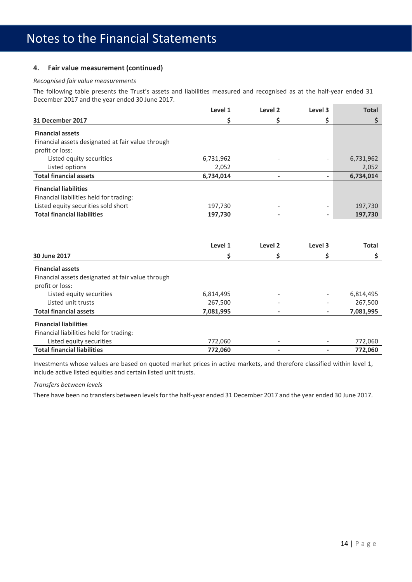#### **4. Fair value measurement (continued)**

#### *Recognised fair value measurements*

The following table presents the Trust's assets and liabilities measured and recognised as at the half-year ended 31 December 2017 and the year ended 30 June 2017.

|                                                                      | Level 1   | Level <sub>2</sub>       | Level 3        | <b>Total</b> |
|----------------------------------------------------------------------|-----------|--------------------------|----------------|--------------|
| 31 December 2017                                                     | \$        | \$                       | Ş              | \$           |
| <b>Financial assets</b>                                              |           |                          |                |              |
| Financial assets designated at fair value through                    |           |                          |                |              |
| profit or loss:                                                      |           |                          |                |              |
| Listed equity securities                                             | 6,731,962 |                          |                | 6,731,962    |
| Listed options                                                       | 2,052     |                          |                | 2,052        |
| <b>Total financial assets</b>                                        | 6,734,014 |                          |                | 6,734,014    |
| <b>Financial liabilities</b>                                         |           |                          |                |              |
| Financial liabilities held for trading:                              |           |                          |                |              |
| Listed equity securities sold short                                  | 197,730   |                          |                | 197,730      |
| <b>Total financial liabilities</b>                                   | 197,730   | $\blacksquare$           |                | 197,730      |
|                                                                      | Level 1   | Level <sub>2</sub>       | Level 3        | <b>Total</b> |
| 30 June 2017                                                         | \$        | \$                       | \$             | \$           |
| <b>Financial assets</b>                                              |           |                          |                |              |
| Financial assets designated at fair value through<br>profit or loss: |           |                          |                |              |
| Listed equity securities                                             | 6,814,495 |                          |                | 6,814,495    |
| Listed unit trusts                                                   | 267,500   |                          |                | 267,500      |
| <b>Total financial assets</b>                                        | 7,081,995 | $\overline{\phantom{a}}$ | $\overline{a}$ | 7,081,995    |
| <b>Financial liabilities</b>                                         |           |                          |                |              |
| Financial liabilities held for trading:                              |           |                          |                |              |
| Listed equity securities                                             | 772,060   |                          |                | 772,060      |
| <b>Total financial liabilities</b>                                   | 772,060   |                          |                | 772,060      |

Investments whose values are based on quoted market prices in active markets, and therefore classified within level 1, include active listed equities and certain listed unit trusts.

#### *Transfers between levels*

There have been no transfers between levels for the half-year ended 31 December 2017 and the year ended 30 June 2017.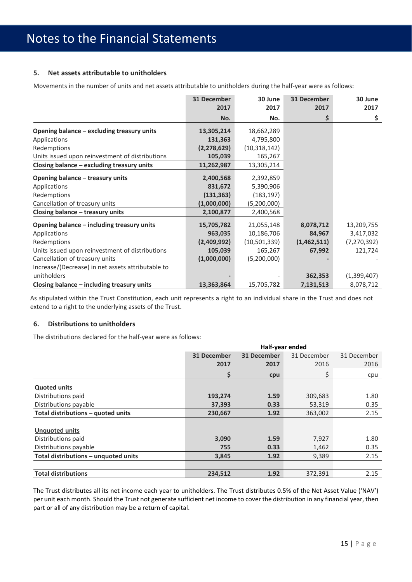#### **5. Net assets attributable to unitholders**

Movements in the number of units and net assets attributable to unitholders during the half‐year were as follows:

|                                                   | 31 December   | 30 June        | <b>31 December</b> | 30 June       |
|---------------------------------------------------|---------------|----------------|--------------------|---------------|
|                                                   | 2017          | 2017           | 2017               | 2017          |
|                                                   | No.           | No.            | \$                 | \$            |
| Opening balance - excluding treasury units        | 13,305,214    | 18,662,289     |                    |               |
| Applications                                      | 131,363       | 4,795,800      |                    |               |
| Redemptions                                       | (2, 278, 629) | (10, 318, 142) |                    |               |
| Units issued upon reinvestment of distributions   | 105,039       | 165,267        |                    |               |
| Closing balance - excluding treasury units        | 11,262,987    | 13,305,214     |                    |               |
| Opening balance - treasury units                  | 2,400,568     | 2,392,859      |                    |               |
| Applications                                      | 831,672       | 5,390,906      |                    |               |
| Redemptions                                       | (131, 363)    | (183, 197)     |                    |               |
| Cancellation of treasury units                    | (1,000,000)   | (5,200,000)    |                    |               |
| Closing balance - treasury units                  | 2,100,877     | 2,400,568      |                    |               |
| Opening balance - including treasury units        | 15,705,782    | 21,055,148     | 8,078,712          | 13,209,755    |
| Applications                                      | 963,035       | 10,186,706     | 84,967             | 3,417,032     |
| Redemptions                                       | (2,409,992)   | (10, 501, 339) | (1,462,511)        | (7, 270, 392) |
| Units issued upon reinvestment of distributions   | 105,039       | 165,267        | 67,992             | 121,724       |
| Cancellation of treasury units                    | (1,000,000)   | (5,200,000)    |                    |               |
| Increase/(Decrease) in net assets attributable to |               |                |                    |               |
| unitholders                                       |               |                | 362,353            | (1,399,407)   |
| Closing balance - including treasury units        | 13,363,864    | 15,705,782     | 7,131,513          | 8,078,712     |

As stipulated within the Trust Constitution, each unit represents a right to an individual share in the Trust and does not extend to a right to the underlying assets of the Trust.

#### **6. Distributions to unitholders**

The distributions declared for the half‐year were as follows:

|                                      | Half-year ended |             |             |             |
|--------------------------------------|-----------------|-------------|-------------|-------------|
|                                      | 31 December     | 31 December | 31 December | 31 December |
|                                      | 2017            | 2017        | 2016        | 2016        |
|                                      | \$              | cpu         | \$          | cpu         |
| <b>Quoted units</b>                  |                 |             |             |             |
| Distributions paid                   | 193,274         | 1.59        | 309,683     | 1.80        |
| Distributions payable                | 37,393          | 0.33        | 53,319      | 0.35        |
| Total distributions - quoted units   | 230,667         | 1.92        | 363,002     | 2.15        |
|                                      |                 |             |             |             |
| <b>Unquoted units</b>                |                 |             |             |             |
| Distributions paid                   | 3,090           | 1.59        | 7,927       | 1.80        |
| Distributions payable                | 755             | 0.33        | 1,462       | 0.35        |
| Total distributions - unquoted units | 3,845           | 1.92        | 9,389       | 2.15        |
|                                      |                 |             |             |             |
| <b>Total distributions</b>           | 234,512         | 1.92        | 372,391     | 2.15        |

The Trust distributes all its net income each year to unitholders. The Trust distributes 0.5% of the Net Asset Value ('NAV') per unit each month. Should the Trust not generate sufficient net income to cover the distribution in any financial year, then part or all of any distribution may be a return of capital.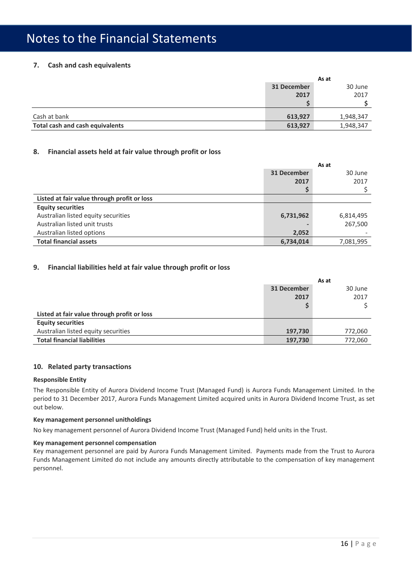#### **7. Cash and cash equivalents**

|                                 | As at       |           |
|---------------------------------|-------------|-----------|
|                                 | 31 December | 30 June   |
|                                 | 2017        | 2017      |
|                                 |             |           |
| Cash at bank                    | 613,927     | 1,948,347 |
| Total cash and cash equivalents | 613,927     | 1,948,347 |

#### **8. Financial assets held at fair value through profit or loss**

|                                             | As at       |           |  |
|---------------------------------------------|-------------|-----------|--|
|                                             | 31 December | 30 June   |  |
|                                             | 2017        | 2017      |  |
|                                             |             |           |  |
| Listed at fair value through profit or loss |             |           |  |
| <b>Equity securities</b>                    |             |           |  |
| Australian listed equity securities         | 6,731,962   | 6,814,495 |  |
| Australian listed unit trusts               |             | 267,500   |  |
| Australian listed options                   | 2,052       |           |  |
| <b>Total financial assets</b>               | 6,734,014   | 7,081,995 |  |

#### **9. Financial liabilities held at fair value through profit or loss**

|                                             |             | As at   |
|---------------------------------------------|-------------|---------|
|                                             | 31 December | 30 June |
|                                             | 2017        | 2017    |
|                                             | S           |         |
| Listed at fair value through profit or loss |             |         |
| <b>Equity securities</b>                    |             |         |
| Australian listed equity securities         | 197,730     | 772,060 |
| <b>Total financial liabilities</b>          | 197,730     | 772,060 |

#### **10. Related party transactions**

#### **Responsible Entity**

The Responsible Entity of Aurora Dividend Income Trust (Managed Fund) is Aurora Funds Management Limited. In the period to 31 December 2017, Aurora Funds Management Limited acquired units in Aurora Dividend Income Trust, as set out below.

#### **Key management personnel unitholdings**

No key management personnel of Aurora Dividend Income Trust (Managed Fund) held units in the Trust.

#### **Key management personnel compensation**

Key management personnel are paid by Aurora Funds Management Limited. Payments made from the Trust to Aurora Funds Management Limited do not include any amounts directly attributable to the compensation of key management personnel.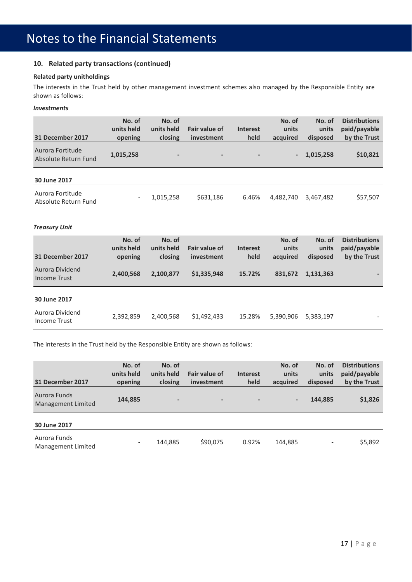#### **10. Related party transactions (continued)**

#### **Related party unitholdings**

The interests in the Trust held by other management investment schemes also managed by the Responsible Entity are shown as follows:

#### *Investments*

| 31 December 2017                         | No. of<br>units held<br>opening | No. of<br>units held<br>closing | <b>Fair value of</b><br><i>investment</i> | <b>Interest</b><br>held  | No. of<br>units<br>acquired | No. of<br>units<br>disposed | <b>Distributions</b><br>paid/payable<br>by the Trust |
|------------------------------------------|---------------------------------|---------------------------------|-------------------------------------------|--------------------------|-----------------------------|-----------------------------|------------------------------------------------------|
| Aurora Fortitude<br>Absolute Return Fund | 1,015,258                       | $\overline{\phantom{0}}$        | $\overline{\phantom{a}}$                  | $\overline{\phantom{a}}$ | $\blacksquare$              | 1,015,258                   | \$10,821                                             |
| 30 June 2017                             |                                 |                                 |                                           |                          |                             |                             |                                                      |
| Aurora Fortitude<br>Absolute Return Fund | $-$                             | 1,015,258                       | \$631,186                                 | 6.46%                    | 4,482,740                   | 3,467,482                   | \$57,507                                             |

#### *Treasury Unit*

| 31 December 2017                | No. of<br>units held<br>opening | No. of<br>units held<br>closing | Fair value of<br>investment | <b>Interest</b><br>held | No. of<br>units<br>acquired | No. of<br>units<br>disposed | <b>Distributions</b><br>paid/payable<br>by the Trust |
|---------------------------------|---------------------------------|---------------------------------|-----------------------------|-------------------------|-----------------------------|-----------------------------|------------------------------------------------------|
| Aurora Dividend<br>Income Trust | 2,400,568                       | 2,100,877                       | \$1,335,948                 | 15.72%                  | 831,672                     | 1,131,363                   |                                                      |
| 30 June 2017                    |                                 |                                 |                             |                         |                             |                             |                                                      |
| Aurora Dividend<br>Income Trust | 2,392,859                       | 2,400,568                       | \$1,492,433                 | 15.28%                  | 5,390,906                   | 5,383,197                   |                                                      |

The interests in the Trust held by the Responsible Entity are shown as follows:

| 31 December 2017                   | No. of<br>units held<br>opening | No. of<br>units held<br>closing | Fair value of<br><i>investment</i> | <b>Interest</b><br>held  | No. of<br>units<br>acquired | No. of<br>units<br>disposed  | <b>Distributions</b><br>paid/payable<br>by the Trust |
|------------------------------------|---------------------------------|---------------------------------|------------------------------------|--------------------------|-----------------------------|------------------------------|------------------------------------------------------|
| Aurora Funds<br>Management Limited | 144,885                         | -                               | $\overline{\phantom{a}}$           | $\overline{\phantom{a}}$ | $\overline{\phantom{a}}$    | 144,885                      | \$1,826                                              |
| 30 June 2017                       |                                 |                                 |                                    |                          |                             |                              |                                                      |
| Aurora Funds<br>Management Limited | $\overline{\phantom{a}}$        | 144.885                         | \$90,075                           | 0.92%                    | 144,885                     | $\qquad \qquad \blacksquare$ | \$5,892                                              |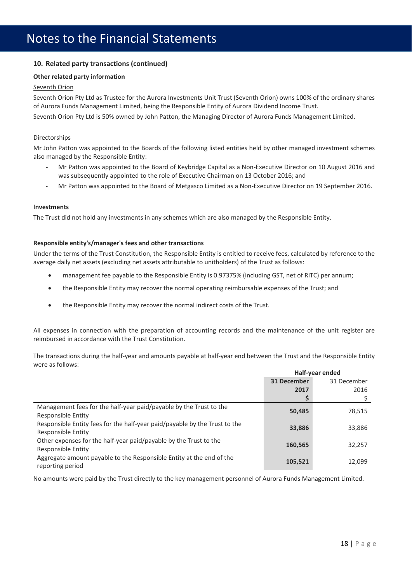#### **10. Related party transactions (continued)**

#### **Other related party information**

#### Seventh Orion

Seventh Orion Pty Ltd as Trustee for the Aurora Investments Unit Trust (Seventh Orion) owns 100% of the ordinary shares of Aurora Funds Management Limited, being the Responsible Entity of Aurora Dividend Income Trust.

Seventh Orion Pty Ltd is 50% owned by John Patton, the Managing Director of Aurora Funds Management Limited.

#### Directorships

Mr John Patton was appointed to the Boards of the following listed entities held by other managed investment schemes also managed by the Responsible Entity:

- ‐ Mr Patton was appointed to the Board of Keybridge Capital as a Non‐Executive Director on 10 August 2016 and was subsequently appointed to the role of Executive Chairman on 13 October 2016; and
- ‐ Mr Patton was appointed to the Board of Metgasco Limited as a Non‐Executive Director on 19 September 2016.

#### **Investments**

The Trust did not hold any investments in any schemes which are also managed by the Responsible Entity.

#### **Responsible entity's/manager's fees and other transactions**

Under the terms of the Trust Constitution, the Responsible Entity is entitled to receive fees, calculated by reference to the average daily net assets (excluding net assets attributable to unitholders) of the Trust as follows:

- management fee payable to the Responsible Entity is 0.97375% (including GST, net of RITC) per annum;
- the Responsible Entity may recover the normal operating reimbursable expenses of the Trust; and
- the Responsible Entity may recover the normal indirect costs of the Trust.

All expenses in connection with the preparation of accounting records and the maintenance of the unit register are reimbursed in accordance with the Trust Constitution.

The transactions during the half‐year and amounts payable at half‐year end between the Trust and the Responsible Entity were as follows:

|                                                                                                  | Half-year ended |             |  |
|--------------------------------------------------------------------------------------------------|-----------------|-------------|--|
|                                                                                                  | 31 December     | 31 December |  |
|                                                                                                  | 2017            | 2016        |  |
|                                                                                                  |                 |             |  |
| Management fees for the half-year paid/payable by the Trust to the<br>Responsible Entity         | 50,485          | 78,515      |  |
| Responsible Entity fees for the half-year paid/payable by the Trust to the<br>Responsible Entity | 33,886          | 33,886      |  |
| Other expenses for the half-year paid/payable by the Trust to the<br>Responsible Entity          | 160,565         | 32,257      |  |
| Aggregate amount payable to the Responsible Entity at the end of the<br>reporting period         | 105,521         | 12,099      |  |

No amounts were paid by the Trust directly to the key management personnel of Aurora Funds Management Limited.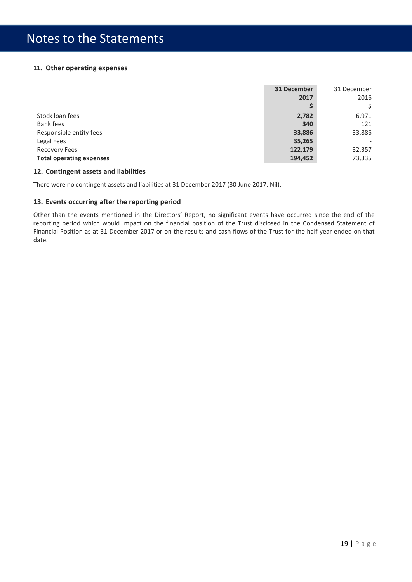#### **11. Other operating expenses**

|                                 | 31 December | 31 December |
|---------------------------------|-------------|-------------|
|                                 | 2017        | 2016        |
|                                 |             |             |
| Stock loan fees                 | 2,782       | 6,971       |
| <b>Bank fees</b>                | 340         | 121         |
| Responsible entity fees         | 33,886      | 33,886      |
| Legal Fees                      | 35,265      |             |
| <b>Recovery Fees</b>            | 122,179     | 32,357      |
| <b>Total operating expenses</b> | 194,452     | 73,335      |

#### **12. Contingent assets and liabilities**

There were no contingent assets and liabilities at 31 December 2017 (30 June 2017: Nil).

#### **13. Events occurring after the reporting period**

Other than the events mentioned in the Directors' Report, no significant events have occurred since the end of the reporting period which would impact on the financial position of the Trust disclosed in the Condensed Statement of Financial Position as at 31 December 2017 or on the results and cash flows of the Trust for the half‐year ended on that date.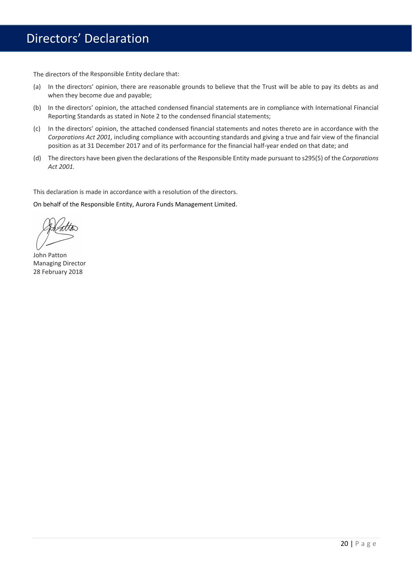## Directors' Declaration

The directors of the Responsible Entity declare that:

- (a) In the directors' opinion, there are reasonable grounds to believe that the Trust will be able to pay its debts as and when they become due and payable;
- (b) In the directors' opinion, the attached condensed financial statements are in compliance with International Financial Reporting Standards as stated in Note 2 to the condensed financial statements;
- (c) In the directors' opinion, the attached condensed financial statements and notes thereto are in accordance with the *Corporations Act 2001,* including compliance with accounting standards and giving a true and fair view of the financial position as at 31 December 2017 and of its performance for the financial half-year ended on that date; and
- (d) The directors have been given the declarations of the Responsible Entity made pursuant to s295(5) of the *Corporations Act 2001.*

This declaration is made in accordance with a resolution of the directors.

On behalf of the Responsible Entity, Aurora Funds Management Limited.

John Patton Managing Director 28 February 2018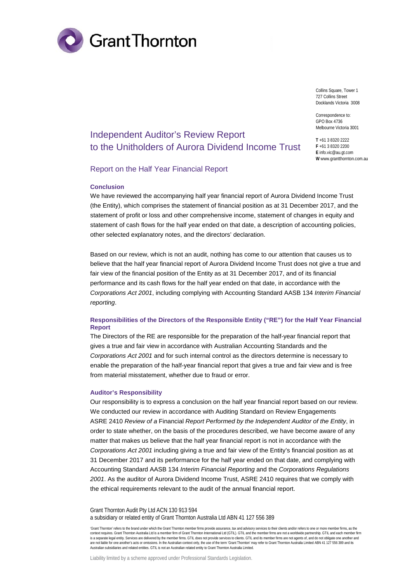

Collins Square, Tower 1 727 Collins Street Docklands Victoria 3008

Correspondence to: GPO Box 4736 Melbourne Victoria 3001

**T** +61 3 8320 2222 **F** +61 3 8320 2200 **E** info.vic@au.gt.com **W** www.grantthornton.com.au

### Independent Auditor's Review Report to the Unitholders of Aurora Dividend Income Trust

#### Report on the Half Year Financial Report

#### **Conclusion**

We have reviewed the accompanying half year financial report of Aurora Dividend Income Trust (the Entity), which comprises the statement of financial position as at 31 December 2017, and the statement of profit or loss and other comprehensive income, statement of changes in equity and statement of cash flows for the half year ended on that date, a description of accounting policies, other selected explanatory notes, and the directors' declaration.

Based on our review, which is not an audit, nothing has come to our attention that causes us to believe that the half year financial report of Aurora Dividend Income Trust does not give a true and fair view of the financial position of the Entity as at 31 December 2017, and of its financial performance and its cash flows for the half year ended on that date, in accordance with the *Corporations Act 2001*, including complying with Accounting Standard AASB 134 *Interim Financial reporting*.

#### **Responsibilities of the Directors of the Responsible Entity ("RE") for the Half Year Financial Report**

The Directors of the RE are responsible for the preparation of the half-year financial report that gives a true and fair view in accordance with Australian Accounting Standards and the *Corporations Act 2001* and for such internal control as the directors determine is necessary to enable the preparation of the half-year financial report that gives a true and fair view and is free from material misstatement, whether due to fraud or error.

#### **Auditor's Responsibility**

Our responsibility is to express a conclusion on the half year financial report based on our review. We conducted our review in accordance with Auditing Standard on Review Engagements ASRE 2410 *Review of a* Financial *Report Performed by the Independent Auditor of the Entity*, in order to state whether, on the basis of the procedures described, we have become aware of any matter that makes us believe that the half year financial report is not in accordance with the *Corporations Act 2001* including giving a true and fair view of the Entity's financial position as at 31 December 2017 and its performance for the half year ended on that date, and complying with Accounting Standard AASB 134 *Interim Financial Reporting* and the *Corporations Regulations 2001*. As the auditor of Aurora Dividend Income Trust, ASRE 2410 requires that we comply with the ethical requirements relevant to the audit of the annual financial report.

Grant Thornton Audit Pty Ltd ACN 130 913 594 a subsidiary or related entity of Grant Thornton Australia Ltd ABN 41 127 556 389

'Grant Thornton' refers to the brand under which the Grant Thornton member firms provide assurance, tax and advisory services to their clients and/or refers to one or more member firms, as the context requires. Grant Thornton Australia Ltd is a member firm of Grant Thornton International Ltd (GTIL). GTIL and the member firms are not a worldwide partnership. GTIL and each member firm is a separate legal entity. Services are delivered by the member firms. GTIL does not provide services to clients. GTIL and its member firms are not agents of, and do not obligate one another and are not liable for one another's acts or omissions. In the Australian context only, the use of the term 'Grant Thornton' may refer to Grant Thornton Australia Limited ABN 41 127 556 389 and its<br>Australian subsidiaries and

Liability limited by a scheme approved under Professional Standards Legislation.